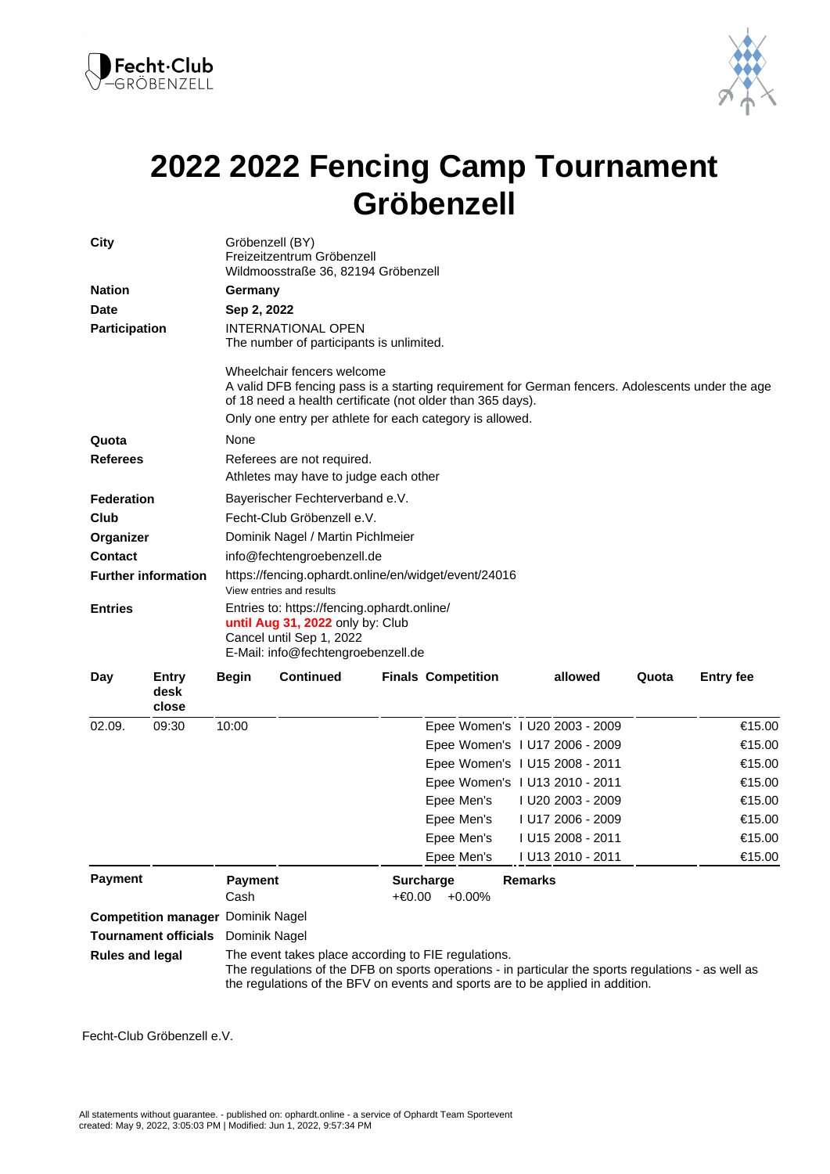



## **2022 2022 Fencing Camp Tournament Gröbenzell**

| City                                         |                        | Gröbenzell (BY)<br>Freizeitzentrum Gröbenzell<br>Wildmoosstraße 36, 82194 Gröbenzell                                                              |                                                                                                                                                                                                                                                          |  |                                   |         |                   |       |                  |  |  |
|----------------------------------------------|------------------------|---------------------------------------------------------------------------------------------------------------------------------------------------|----------------------------------------------------------------------------------------------------------------------------------------------------------------------------------------------------------------------------------------------------------|--|-----------------------------------|---------|-------------------|-------|------------------|--|--|
| <b>Nation</b>                                |                        | Germany                                                                                                                                           |                                                                                                                                                                                                                                                          |  |                                   |         |                   |       |                  |  |  |
| <b>Date</b>                                  |                        | Sep 2, 2022                                                                                                                                       |                                                                                                                                                                                                                                                          |  |                                   |         |                   |       |                  |  |  |
| <b>Participation</b>                         |                        | <b>INTERNATIONAL OPEN</b><br>The number of participants is unlimited.                                                                             |                                                                                                                                                                                                                                                          |  |                                   |         |                   |       |                  |  |  |
|                                              |                        |                                                                                                                                                   | Wheelchair fencers welcome<br>A valid DFB fencing pass is a starting requirement for German fencers. Adolescents under the age<br>of 18 need a health certificate (not older than 365 days).<br>Only one entry per athlete for each category is allowed. |  |                                   |         |                   |       |                  |  |  |
| Quota                                        |                        | None                                                                                                                                              |                                                                                                                                                                                                                                                          |  |                                   |         |                   |       |                  |  |  |
| <b>Referees</b><br><b>Federation</b>         |                        | Referees are not required.                                                                                                                        |                                                                                                                                                                                                                                                          |  |                                   |         |                   |       |                  |  |  |
|                                              |                        | Athletes may have to judge each other                                                                                                             |                                                                                                                                                                                                                                                          |  |                                   |         |                   |       |                  |  |  |
|                                              |                        | Bayerischer Fechterverband e.V.                                                                                                                   |                                                                                                                                                                                                                                                          |  |                                   |         |                   |       |                  |  |  |
| Club                                         |                        | Fecht-Club Gröbenzell e.V.                                                                                                                        |                                                                                                                                                                                                                                                          |  |                                   |         |                   |       |                  |  |  |
| Organizer                                    |                        | Dominik Nagel / Martin Pichlmeier                                                                                                                 |                                                                                                                                                                                                                                                          |  |                                   |         |                   |       |                  |  |  |
| <b>Contact</b>                               |                        | info@fechtengroebenzell.de                                                                                                                        |                                                                                                                                                                                                                                                          |  |                                   |         |                   |       |                  |  |  |
| <b>Further information</b><br><b>Entries</b> |                        | https://fencing.ophardt.online/en/widget/event/24016<br>View entries and results                                                                  |                                                                                                                                                                                                                                                          |  |                                   |         |                   |       |                  |  |  |
|                                              |                        | Entries to: https://fencing.ophardt.online/<br>until Aug 31, 2022 only by: Club<br>Cancel until Sep 1, 2022<br>E-Mail: info@fechtengroebenzell.de |                                                                                                                                                                                                                                                          |  |                                   |         |                   |       |                  |  |  |
| Day                                          | Entry<br>desk<br>close | <b>Begin</b>                                                                                                                                      | <b>Continued</b>                                                                                                                                                                                                                                         |  | <b>Finals Competition</b>         |         | allowed           | Quota | <b>Entry fee</b> |  |  |
| 02.09.                                       | 09:30                  | 10:00                                                                                                                                             |                                                                                                                                                                                                                                                          |  | Epee Women's 1 U20 2003 - 2009    |         |                   |       | €15.00           |  |  |
|                                              |                        |                                                                                                                                                   |                                                                                                                                                                                                                                                          |  | Epee Women's 1 U17 2006 - 2009    |         |                   |       | €15.00           |  |  |
|                                              |                        |                                                                                                                                                   |                                                                                                                                                                                                                                                          |  | Epee Women's 1 U15 2008 - 2011    |         |                   |       | €15.00           |  |  |
|                                              |                        |                                                                                                                                                   |                                                                                                                                                                                                                                                          |  | Epee Women's 1 U13 2010 - 2011    |         |                   |       | €15.00           |  |  |
|                                              |                        |                                                                                                                                                   |                                                                                                                                                                                                                                                          |  | Epee Men's                        |         | I U20 2003 - 2009 |       | €15.00           |  |  |
|                                              |                        |                                                                                                                                                   |                                                                                                                                                                                                                                                          |  | Epee Men's                        |         | I U17 2006 - 2009 |       | €15.00           |  |  |
|                                              |                        |                                                                                                                                                   |                                                                                                                                                                                                                                                          |  | Epee Men's                        |         | I U15 2008 - 2011 |       | €15.00           |  |  |
|                                              |                        |                                                                                                                                                   |                                                                                                                                                                                                                                                          |  | Epee Men's                        |         | I U13 2010 - 2011 |       | €15.00           |  |  |
| <b>Payment</b>                               |                        | <b>Payment</b><br>Cash                                                                                                                            |                                                                                                                                                                                                                                                          |  | <b>Surcharge</b><br>+€0.00 +0.00% | Remarks |                   |       |                  |  |  |
| <b>Competition manager Dominik Nagel</b>     |                        |                                                                                                                                                   |                                                                                                                                                                                                                                                          |  |                                   |         |                   |       |                  |  |  |
| <b>Tournament officials</b>                  |                        | Dominik Nagel                                                                                                                                     |                                                                                                                                                                                                                                                          |  |                                   |         |                   |       |                  |  |  |
| <b>Rules and legal</b>                       |                        |                                                                                                                                                   | The event takes place according to FIE regulations.<br>The regulations of the DFB on sports operations - in particular the sports regulations - as well as<br>the regulations of the BFV on events and sports are to be applied in addition.             |  |                                   |         |                   |       |                  |  |  |

Fecht-Club Gröbenzell e.V.